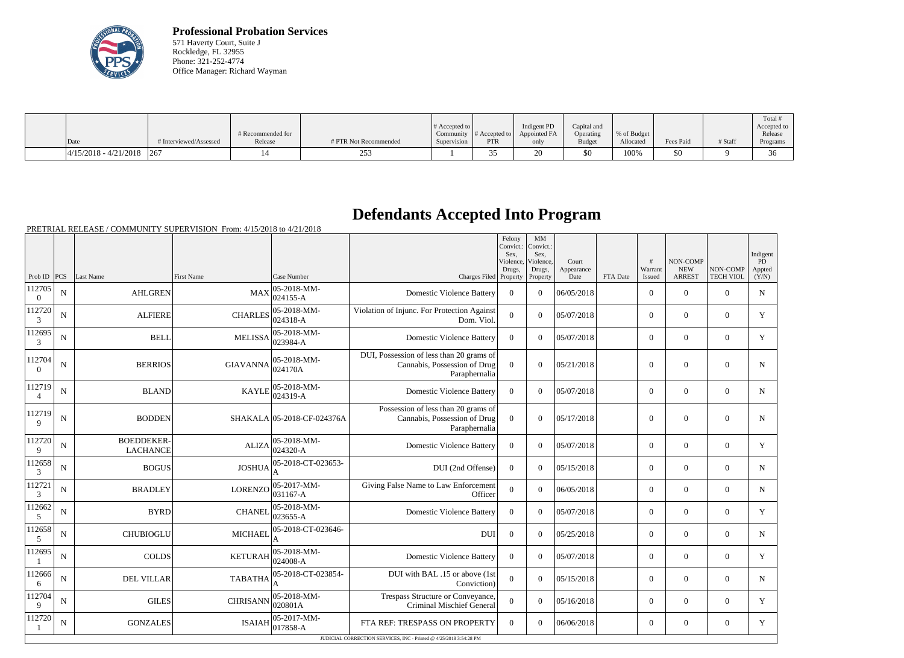

**Professional Probation Services** 571 Haverty Court, Suite J Rockledge, FL 32955 Phone: 321-252-4774 Office Manager: Richard Wayman

| Date |                          | # Interviewed/Assessed | # Recommended for<br>Release | # PTR Not Recommended                       | # Accepted to<br>Supervision | Community $\#$ Accepted to<br>PTR | Indigent PD<br>Appointed FA<br>only | Capital and<br>Operating<br><b>Budget</b> | % of Budget<br>Allocated | <b>Fees Paid</b> | # Staff | Total<br>Accepted to<br>Release<br>Programs |
|------|--------------------------|------------------------|------------------------------|---------------------------------------------|------------------------------|-----------------------------------|-------------------------------------|-------------------------------------------|--------------------------|------------------|---------|---------------------------------------------|
|      |                          |                        |                              |                                             |                              |                                   |                                     |                                           |                          |                  |         |                                             |
|      | $ 4/15/2018 - 4/21/2018$ | 267                    |                              | $\sim$ $\sim$ $\sim$<br>$\angle 5^{\prime}$ |                              |                                   | ∠∪                                  | \$0                                       | 100%                     | \$0              |         | 36                                          |

## **Defendants Accepted Into Program**

PRETRIAL RELEASE / COMMUNITY SUPERVISION From: 4/15/2018 to 4/21/2018

|                          |                |                                      |                 |                            |                                                                                           | Felony<br>Convict.:<br>Sex.<br>Violence,<br>Drugs, | MM<br>Convict.:<br>Sex.<br>Violence,<br>Drugs, | Court<br>Appearance |          | #<br>Warrant     | <b>NON-COMP</b><br><b>NEW</b> | NON-COMP         | Indigent<br>PD<br>Appted |
|--------------------------|----------------|--------------------------------------|-----------------|----------------------------|-------------------------------------------------------------------------------------------|----------------------------------------------------|------------------------------------------------|---------------------|----------|------------------|-------------------------------|------------------|--------------------------|
| Prob ID $ PCS $          |                | Last Name                            | First Name      | Case Number                | Charges Filed                                                                             | Property                                           | Property                                       | Date                | FTA Date | Issued           | <b>ARREST</b>                 | <b>TECH VIOL</b> | (Y/N)                    |
| 112705<br>$\overline{0}$ | N              | <b>AHLGREN</b>                       | <b>MAX</b>      | 05-2018-MM-<br>024155-A    | <b>Domestic Violence Battery</b>                                                          | $\overline{0}$                                     | $\overline{0}$                                 | 06/05/2018          |          | $\overline{0}$   | $\mathbf{0}$                  | $\overline{0}$   | $\mathbf N$              |
| 112720<br>$\mathfrak{Z}$ | $\overline{N}$ | <b>ALFIERE</b>                       | <b>CHARLES</b>  | 05-2018-MM-<br>024318-A    | Violation of Injunc. For Protection Against<br>Dom. Viol.                                 | $\overline{0}$                                     | $\Omega$                                       | 05/07/2018          |          | $\overline{0}$   | $\Omega$                      | $\overline{0}$   | Y                        |
| 112695<br>3              | $\mathbf N$    | <b>BELL</b>                          | <b>MELISSA</b>  | 05-2018-MM-<br>023984-A    | <b>Domestic Violence Battery</b>                                                          | $\overline{0}$                                     | $\theta$                                       | 05/07/2018          |          | $\overline{0}$   | $\mathbf{0}$                  | $\mathbf{0}$     | Y                        |
| 112704<br>$\Omega$       | ${\bf N}$      | <b>BERRIOS</b>                       | <b>GIAVANNA</b> | 05-2018-MM-<br>024170A     | DUI, Possession of less than 20 grams of<br>Cannabis, Possession of Drug<br>Paraphernalia | $\overline{0}$                                     | $\theta$                                       | 05/21/2018          |          | $\boldsymbol{0}$ | $\mathbf{0}$                  | $\mathbf{0}$     | N                        |
| 112719<br>$\overline{4}$ | $\mathbf N$    | <b>BLAND</b>                         | <b>KAYLE</b>    | 05-2018-MM-<br>024319-A    | <b>Domestic Violence Battery</b>                                                          | $\theta$                                           | $\theta$                                       | 05/07/2018          |          | $\overline{0}$   | $\mathbf{0}$                  | $\overline{0}$   | N                        |
| 112719<br>9              | $\mathbf N$    | <b>BODDEN</b>                        |                 | SHAKALA 05-2018-CF-024376A | Possession of less than 20 grams of<br>Cannabis, Possession of Drug<br>Paraphernalia      | $\theta$                                           | $\theta$                                       | 05/17/2018          |          | $\boldsymbol{0}$ | $\mathbf{0}$                  | $\boldsymbol{0}$ | N                        |
| 112720<br>9              | N              | <b>BOEDDEKER-</b><br><b>LACHANCE</b> | <b>ALIZA</b>    | 05-2018-MM-<br>024320-A    | <b>Domestic Violence Battery</b>                                                          | $\overline{0}$                                     | $\Omega$                                       | 05/07/2018          |          | $\overline{0}$   | $\mathbf{0}$                  | $\overline{0}$   | Y                        |
| 112658<br>3              | $\mathbf N$    | <b>BOGUS</b>                         | <b>JOSHUA</b>   | 05-2018-CT-023653-         | DUI (2nd Offense)                                                                         | $\overline{0}$                                     | $\Omega$                                       | 05/15/2018          |          | $\overline{0}$   | $\mathbf{0}$                  | $\overline{0}$   | $\mathbf N$              |
| 112721<br>$\mathfrak{Z}$ | N              | <b>BRADLEY</b>                       | <b>LORENZO</b>  | 05-2017-MM-<br>031167-A    | Giving False Name to Law Enforcement<br>Officer                                           | $\overline{0}$                                     | $\overline{0}$                                 | 06/05/2018          |          | $\overline{0}$   | $\mathbf{0}$                  | $\overline{0}$   | $\mathbf N$              |
| 112662<br>5              | $\mathbf N$    | <b>BYRD</b>                          | <b>CHANEL</b>   | 05-2018-MM-<br>023655-A    | <b>Domestic Violence Battery</b>                                                          | $\overline{0}$                                     | $\Omega$                                       | 05/07/2018          |          | $\overline{0}$   | $\boldsymbol{0}$              | $\mathbf{0}$     | Y                        |
| 112658<br>$\overline{5}$ | $\mathbf N$    | <b>CHUBIOGLU</b>                     | <b>MICHAEL</b>  | 05-2018-CT-023646-         | <b>DUI</b>                                                                                | $\overline{0}$                                     | $\Omega$                                       | 05/25/2018          |          | $\overline{0}$   | $\mathbf{0}$                  | $\overline{0}$   | N                        |
| 112695<br>- 1            | $\mathbf N$    | <b>COLDS</b>                         | <b>KETURAH</b>  | 05-2018-MM-<br>024008-A    | <b>Domestic Violence Battery</b>                                                          | $\Omega$                                           | $\Omega$                                       | 05/07/2018          |          | $\Omega$         | $\mathbf{0}$                  | $\overline{0}$   | Y                        |
| 112666<br>6              | N              | <b>DEL VILLAR</b>                    | <b>TABATHA</b>  | 05-2018-CT-023854-         | DUI with BAL .15 or above (1st<br>Conviction)                                             | $\overline{0}$                                     | $\theta$                                       | 05/15/2018          |          | $\Omega$         | $\Omega$                      | $\overline{0}$   | $\mathbf N$              |
| 112704<br>9              | N              | <b>GILES</b>                         | <b>CHRISANN</b> | 05-2018-MM-<br>020801A     | Trespass Structure or Conveyance,<br>Criminal Mischief General                            | $\Omega$                                           | $\theta$                                       | 05/16/2018          |          | $\Omega$         | $\mathbf{0}$                  | $\overline{0}$   | Y                        |
| 112720                   | N              | <b>GONZALES</b>                      | <b>ISAIAH</b>   | 05-2017-MM-<br>017858-A    | FTA REF: TRESPASS ON PROPERTY                                                             | $\theta$                                           | $\theta$                                       | 06/06/2018          |          | $\overline{0}$   | $\mathbf{0}$                  | $\overline{0}$   | Y                        |
|                          |                |                                      |                 |                            | JUDICIAL CORRECTION SERVICES, INC - Printed @ 4/25/2018 3:54:28 PM                        |                                                    |                                                |                     |          |                  |                               |                  |                          |